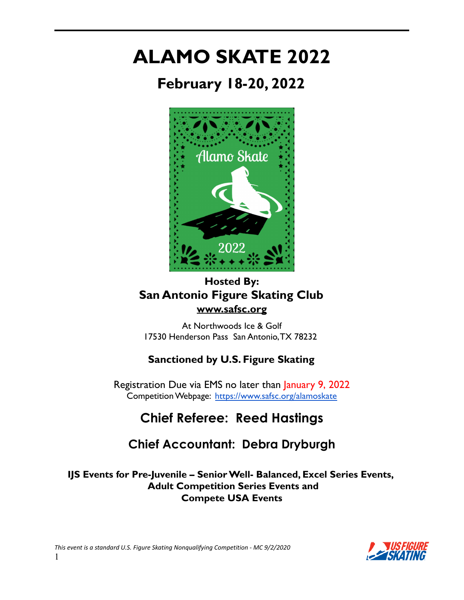# **ALAMO SKATE 2022**

**February 18-20, 2022**



### **Hosted By: San Antonio Figure Skating Club [www.safsc.org](http://www.safsc.org)**

At Northwoods Ice & Golf 17530 Henderson Pass San Antonio,TX 78232

### **Sanctioned by U.S. Figure Skating**

Registration Due via EMS no later than January 9, 2022 Competition Webpage: <https://www.safsc.org/alamoskate>

# **Chief Referee: Reed Hastings**

## **Chief Accountant: Debra Dryburgh**

**IJS Events for Pre-Juvenile – SeniorWell- Balanced, Excel Series Events, Adult Competition Series Events and Compete USA Events**

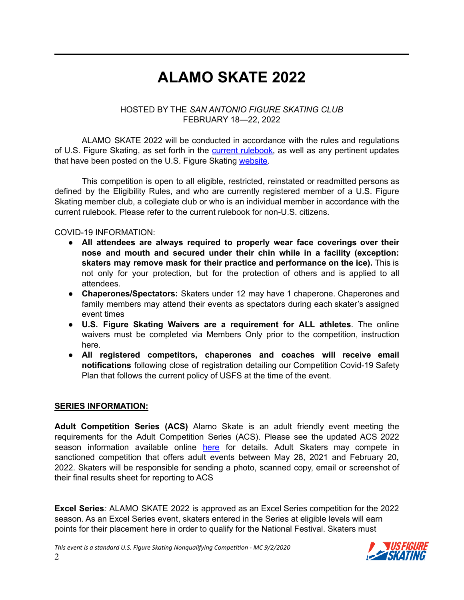# **ALAMO SKATE 2022**

#### HOSTED BY THE *SAN ANTONIO FIGURE SKATING CLUB* FEBRUARY 18—22, 2022

ALAMO SKATE 2022 will be conducted in accordance with the rules and regulations of U.S. Figure Skating, as set forth in the current [rulebook,](https://www.usfigureskating.org/about/rules) as well as any pertinent updates that have been posted on the U.S. Figure Skating [website](https://www.usfigureskating.org/members-only/members/technical-notifications).

This competition is open to all eligible, restricted, reinstated or readmitted persons as defined by the Eligibility Rules, and who are currently registered member of a U.S. Figure Skating member club, a collegiate club or who is an individual member in accordance with the current rulebook. Please refer to the current rulebook for non-U.S. citizens.

#### COVID-19 INFORMATION:

- **All attendees are always required to properly wear face coverings over their nose and mouth and secured under their chin while in a facility (exception: skaters may remove mask for their practice and performance on the ice).** This is not only for your protection, but for the protection of others and is applied to all attendees.
- **Chaperones/Spectators:** Skaters under 12 may have 1 chaperone. Chaperones and family members may attend their events as spectators during each skater's assigned event times
- **U.S. Figure Skating Waivers are a requirement for ALL athletes**. The online waivers must be completed via Members Only prior to the competition, instruction here.
- **All registered competitors, chaperones and coaches will receive email notifications** following close of registration detailing our Competition Covid-19 Safety Plan that follows the current policy of USFS at the time of the event.

#### **SERIES INFORMATION:**

**Adult Competition Series (ACS)** Alamo Skate is an adult friendly event meeting the requirements for the Adult Competition Series (ACS). Please see the updated ACS 2022 season information available online [here](https://www.usfigureskating.org/sites/default/files/media-files/2021-22%20ACS%20Handbook.pdf) for details. Adult Skaters may compete in sanctioned competition that offers adult events between May 28, 2021 and February 20, 2022. Skaters will be responsible for sending a photo, scanned copy, email or screenshot of their final results sheet for reporting to ACS

**Excel Series***:* ALAMO SKATE 2022 is approved as an Excel Series competition for the 2022 season. As an Excel Series event, skaters entered in the Series at eligible levels will earn points for their placement here in order to qualify for the National Festival. Skaters must

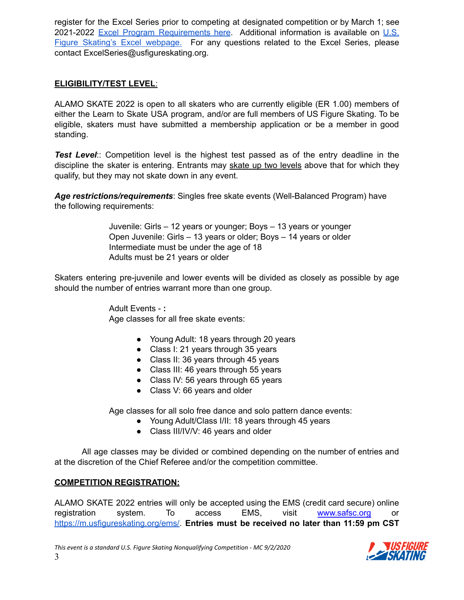register for the Excel Series prior to competing at designated competition or by March 1; see 2021-2022 Excel Program [Requirements](https://fs12.formsite.com/USFSAIT/images/2022_Excel_Free_Skate_Requirements.pdf) here. Additional information is available on [U.S.](https://www.usfigureskating.org/skate/skating-opportunities/excel) Figure Skating's Excel [webpage.](https://www.usfigureskating.org/skate/skating-opportunities/excel) For any questions related to the Excel Series, please contact ExcelSeries@usfigureskating.org.

#### **ELIGIBILITY/TEST LEVEL**:

ALAMO SKATE 2022 is open to all skaters who are currently eligible (ER 1.00) members of either the Learn to Skate USA program, and/or are full members of US Figure Skating. To be eligible, skaters must have submitted a membership application or be a member in good standing.

*Test Level*:: Competition level is the highest test passed as of the entry deadline in the discipline the skater is entering. Entrants may skate up two levels above that for which they qualify, but they may not skate down in any event.

*Age restrictions/requirements*: Singles free skate events (Well-Balanced Program) have the following requirements:

> Juvenile: Girls – 12 years or younger; Boys – 13 years or younger Open Juvenile: Girls – 13 years or older; Boys – 14 years or older Intermediate must be under the age of 18 Adults must be 21 years or older

Skaters entering pre-juvenile and lower events will be divided as closely as possible by age should the number of entries warrant more than one group.

> Adult Events - **:** Age classes for all free skate events:

- Young Adult: 18 years through 20 years
- Class I: 21 years through 35 years
- Class II: 36 years through 45 years
- Class III: 46 years through 55 years
- Class IV: 56 years through 65 years
- Class V: 66 years and older

Age classes for all solo free dance and solo pattern dance events:

- Young Adult/Class I/II: 18 years through 45 years
- Class III/IV/V: 46 years and older

All age classes may be divided or combined depending on the number of entries and at the discretion of the Chief Referee and/or the competition committee.

#### **COMPETITION REGISTRATION:**

ALAMO SKATE 2022 entries will only be accepted using the EMS (credit card secure) online registration system. To access EMS, visit [www.safsc.org](http://www.safsc.org) or [https://m.usfigureskating.org/ems/.](https://m.usfigureskating.org/ems/) **Entries must be received no later than 11:59 pm CST**

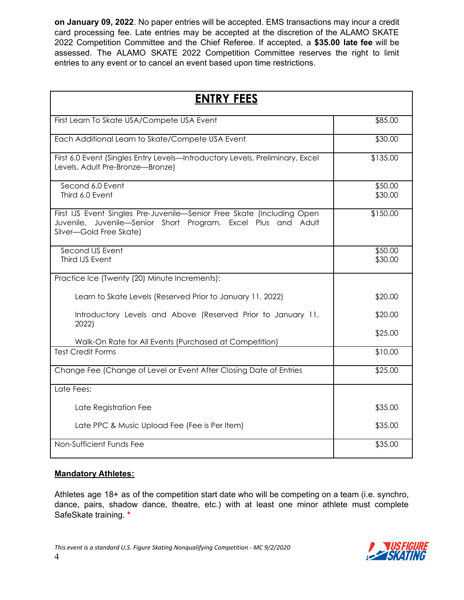**on January 09, 2022**. No paper entries will be accepted. EMS transactions may incur a credit card processing fee. Late entries may be accepted at the discretion of the ALAMO SKATE 2022 Competition Committee and the Chief Referee. If accepted, a **\$35.00 late fee** will be assessed. The ALAMO SKATE 2022 Competition Committee reserves the right to limit entries to any event or to cancel an event based upon time restrictions.

| <b>ENTRY FEES</b>                                                                                                                                                  |                    |
|--------------------------------------------------------------------------------------------------------------------------------------------------------------------|--------------------|
| First Learn To Skate USA/Compete USA Event                                                                                                                         | \$85.00            |
| Each Additional Learn to Skate/Compete USA Event                                                                                                                   | \$30.00            |
| First 6.0 Event (Singles Entry Levels-Introductory Levels, Preliminary, Excel<br>Levels, Adult Pre-Bronze-Bronze)                                                  | \$135.00           |
| Second 6.0 Event<br>Third 6.0 Event                                                                                                                                | \$50.00<br>\$30.00 |
| First IJS Event Singles Pre-Juvenile-Senior Free Skate (Including Open<br>Juvenile, Juvenile-Senior Short Program, Excel Plus and Adult<br>Silver-Gold Free Skate) | \$150.00           |
| Second IJS Event<br>Third IJS Event                                                                                                                                | \$50.00<br>\$30.00 |
| Practice Ice (Twenty (20) Minute Increments):                                                                                                                      |                    |
| Learn to Skate Levels (Reserved Prior to January 11, 2022)                                                                                                         | \$20.00            |
| Introductory Levels and Above (Reserved Prior to January 11,<br>2022)                                                                                              | \$20.00            |
| Walk-On Rate for All Events (Purchased at Competition)                                                                                                             | \$25.00            |
| <b>Test Credit Forms</b>                                                                                                                                           | \$10.00            |
| Change Fee (Change of Level or Event After Closing Date of Entries                                                                                                 | \$25.00            |
| Late Fees:                                                                                                                                                         |                    |
| Late Registration Fee                                                                                                                                              | \$35.00            |
| Late PPC & Music Upload Fee (Fee is Per Item)                                                                                                                      | \$35.00            |
| Non-Sufficient Funds Fee                                                                                                                                           | \$35.00            |

#### **Mandatory Athletes:**

Athletes age 18+ as of the competition start date who will be competing on a team (i.e. synchro, dance, pairs, shadow dance, theatre, etc.) with at least one minor athlete must complete SafeSkate training. **\***

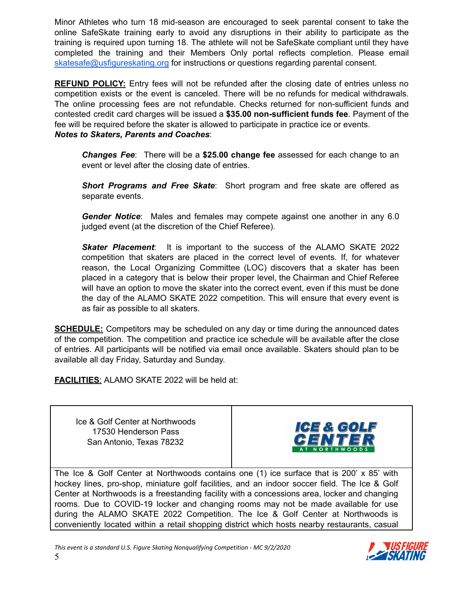Minor Athletes who turn 18 mid-season are encouraged to seek parental consent to take the online SafeSkate training early to avoid any disruptions in their ability to participate as the training is required upon turning 18. The athlete will not be SafeSkate compliant until they have completed the training and their Members Only portal reflects completion. Please email [skatesafe@usfigureskating.org](mailto:skatesafe@usfigureskating.org) for instructions or questions regarding parental consent.

**REFUND POLICY:** Entry fees will not be refunded after the closing date of entries unless no competition exists or the event is canceled. There will be no refunds for medical withdrawals. The online processing fees are not refundable. Checks returned for non-sufficient funds and contested credit card charges will be issued a **\$35.00 non-sufficient funds fee**. Payment of the fee will be required before the skater is allowed to participate in practice ice or events. *Notes to Skaters, Parents and Coaches*:

*Changes Fee*: There will be a **\$25.00 change fee** assessed for each change to an event or level after the closing date of entries.

*Short Programs and Free Skate*: Short program and free skate are offered as separate events.

*Gender Notice*: Males and females may compete against one another in any 6.0 judged event (at the discretion of the Chief Referee).

*Skater Placement*: It is important to the success of the ALAMO SKATE 2022 competition that skaters are placed in the correct level of events. If, for whatever reason, the Local Organizing Committee (LOC) discovers that a skater has been placed in a category that is below their proper level, the Chairman and Chief Referee will have an option to move the skater into the correct event, even if this must be done the day of the ALAMO SKATE 2022 competition. This will ensure that every event is as fair as possible to all skaters.

**SCHEDULE:** Competitors may be scheduled on any day or time during the announced dates of the competition. The competition and practice ice schedule will be available after the close of entries. All participants will be notified via email once available. Skaters should plan to be available all day Friday, Saturday and Sunday.

**FACILITIES**: ALAMO SKATE 2022 will be held at:

Ice & Golf Center at Northwoods 17530 Henderson Pass San Antonio, Texas 78232



The Ice & Golf Center at Northwoods contains one (1) ice surface that is 200' x 85' with hockey lines, pro-shop, miniature golf facilities, and an indoor soccer field. The Ice & Golf Center at Northwoods is a freestanding facility with a concessions area, locker and changing rooms. Due to COVID-19 locker and changing rooms may not be made available for use during the ALAMO SKATE 2022 Competition. The Ice & Golf Center at Northwoods is conveniently located within a retail shopping district which hosts nearby restaurants, casual

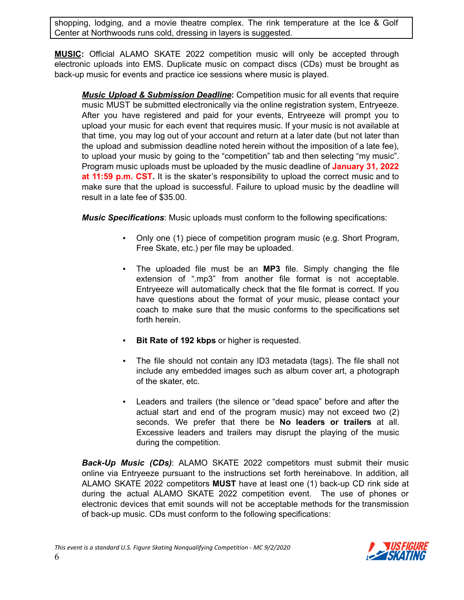shopping, lodging, and a movie theatre complex. The rink temperature at the Ice & Golf Center at Northwoods runs cold, dressing in layers is suggested.

**MUSIC:** Official ALAMO SKATE 2022 competition music will only be accepted through electronic uploads into EMS. Duplicate music on compact discs (CDs) must be brought as back-up music for events and practice ice sessions where music is played.

*Music Upload & Submission Deadline***:** Competition music for all events that require music MUST be submitted electronically via the online registration system, Entryeeze. After you have registered and paid for your events, Entryeeze will prompt you to upload your music for each event that requires music. If your music is not available at that time, you may log out of your account and return at a later date (but not later than the upload and submission deadline noted herein without the imposition of a late fee), to upload your music by going to the "competition" tab and then selecting "my music". Program music uploads must be uploaded by the music deadline of **January 31, 2022 at 11:59 p.m. CST.** It is the skater's responsibility to upload the correct music and to make sure that the upload is successful. Failure to upload music by the deadline will result in a late fee of \$35.00.

*Music Specifications*: Music uploads must conform to the following specifications:

- Only one (1) piece of competition program music (e.g. Short Program, Free Skate, etc.) per file may be uploaded.
- The uploaded file must be an **MP3** file. Simply changing the file extension of ".mp3" from another file format is not acceptable. Entryeeze will automatically check that the file format is correct. If you have questions about the format of your music, please contact your coach to make sure that the music conforms to the specifications set forth herein.
- **Bit Rate of 192 kbps** or higher is requested.
- The file should not contain any ID3 metadata (tags). The file shall not include any embedded images such as album cover art, a photograph of the skater, etc.
- Leaders and trailers (the silence or "dead space" before and after the actual start and end of the program music) may not exceed two (2) seconds. We prefer that there be **No leaders or trailers** at all. Excessive leaders and trailers may disrupt the playing of the music during the competition.

*Back-Up Music (CDs)*: ALAMO SKATE 2022 competitors must submit their music online via Entryeeze pursuant to the instructions set forth hereinabove. In addition, all ALAMO SKATE 2022 competitors **MUST** have at least one (1) back-up CD rink side at during the actual ALAMO SKATE 2022 competition event. The use of phones or electronic devices that emit sounds will not be acceptable methods for the transmission of back-up music. CDs must conform to the following specifications:

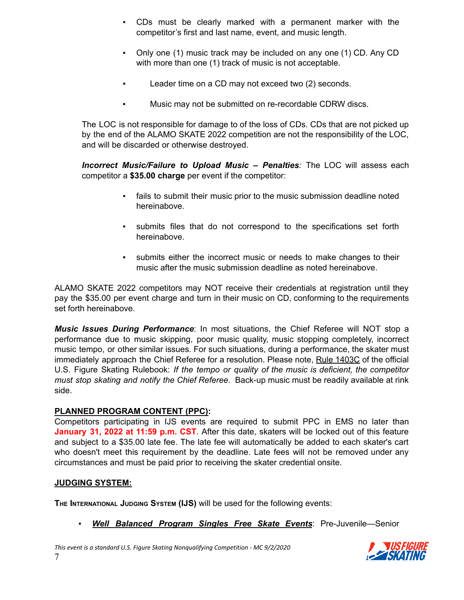- CDs must be clearly marked with a permanent marker with the competitor's first and last name, event, and music length.
- Only one (1) music track may be included on any one (1) CD. Any CD with more than one (1) track of music is not acceptable.
- Leader time on a CD may not exceed two (2) seconds.
- Music may not be submitted on re-recordable CDRW discs.

The LOC is not responsible for damage to of the loss of CDs. CDs that are not picked up by the end of the ALAMO SKATE 2022 competition are not the responsibility of the LOC, and will be discarded or otherwise destroyed.

*Incorrect Music/Failure to Upload Music – Penalties:* The LOC will assess each competitor a **\$35.00 charge** per event if the competitor:

- fails to submit their music prior to the music submission deadline noted hereinabove.
- submits files that do not correspond to the specifications set forth hereinabove.
- submits either the incorrect music or needs to make changes to their music after the music submission deadline as noted hereinabove.

ALAMO SKATE 2022 competitors may NOT receive their credentials at registration until they pay the \$35.00 per event charge and turn in their music on CD, conforming to the requirements set forth hereinabove.

*Music Issues During Performance*: In most situations, the Chief Referee will NOT stop a performance due to music skipping, poor music quality, music stopping completely, incorrect music tempo, or other similar issues. For such situations, during a performance, the skater must immediately approach the Chief Referee for a resolution. Please note, Rule 1403C of the official U.S. Figure Skating Rulebook: *If the tempo or quality of the music is deficient, the competitor must stop skating and notify the Chief Referee*. Back-up music must be readily available at rink side.

#### **PLANNED PROGRAM CONTENT (PPC):**

Competitors participating in IJS events are required to submit PPC in EMS no later than **January 31, 2022 at 11:59 p.m. CST**. After this date, skaters will be locked out of this feature and subject to a \$35.00 late fee. The late fee will automatically be added to each skater's cart who doesn't meet this requirement by the deadline. Late fees will not be removed under any circumstances and must be paid prior to receiving the skater credential onsite.

#### **JUDGING SYSTEM:**

**THE INTERNATIONAL JUDGING SYSTEM (IJS)** will be used for the following events:

*▪ Well Balanced Program Singles Free Skate Events*: Pre-Juvenile—Senior

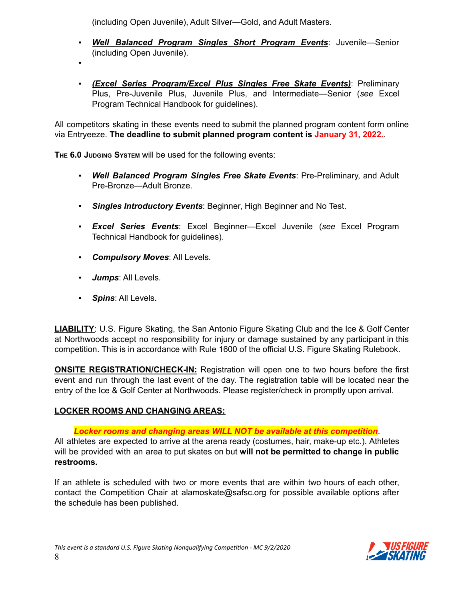(including Open Juvenile), Adult Silver—Gold, and Adult Masters.

- *▪ Well Balanced Program Singles Short Program Events*: Juvenile—Senior (including Open Juvenile).
- *▪*
- *▪ (Excel Series Program/Excel Plus Singles Free Skate Events)*: Preliminary Plus, Pre-Juvenile Plus, Juvenile Plus, and Intermediate—Senior (*see* Excel Program Technical Handbook for guidelines).

All competitors skating in these events need to submit the planned program content form online via Entryeeze. **The deadline to submit planned program content is January 31, 2022.**.

**THE 6.0 JUDGING SYSTEM** will be used for the following events:

- *▪ Well Balanced Program Singles Free Skate Events*: Pre-Preliminary, and Adult Pre-Bronze—Adult Bronze.
- *▪ Singles Introductory Events*: Beginner, High Beginner and No Test.
- *▪ Excel Series Events*: Excel Beginner—Excel Juvenile (*see* Excel Program Technical Handbook for guidelines).
- *▪ Compulsory Moves*: All Levels.
- *▪ Jumps*: All Levels.
- *▪ Spins*: All Levels.

**LIABILITY:** U.S. Figure Skating, the San Antonio Figure Skating Club and the Ice & Golf Center at Northwoods accept no responsibility for injury or damage sustained by any participant in this competition. This is in accordance with Rule 1600 of the official U.S. Figure Skating Rulebook.

**ONSITE REGISTRATION/CHECK-IN:** Registration will open one to two hours before the first event and run through the last event of the day. The registration table will be located near the entry of the Ice & Golf Center at Northwoods. Please register/check in promptly upon arrival.

#### **LOCKER ROOMS AND CHANGING AREAS:**

*Locker rooms and changing areas WILL NOT be available at this competition*.

All athletes are expected to arrive at the arena ready (costumes, hair, make-up etc.). Athletes will be provided with an area to put skates on but **will not be permitted to change in public restrooms.**

If an athlete is scheduled with two or more events that are within two hours of each other, contact the Competition Chair at alamoskate@safsc.org for possible available options after the schedule has been published.

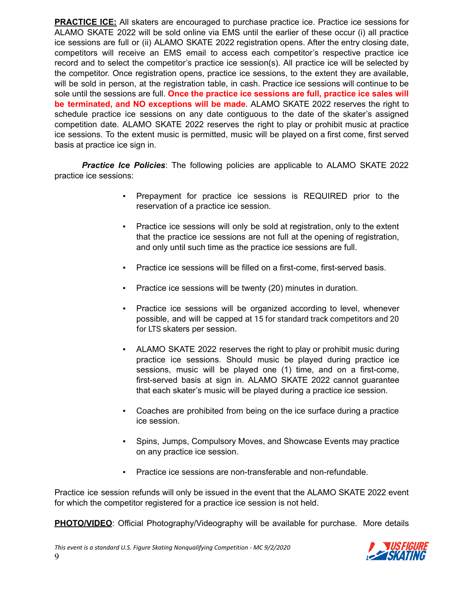**PRACTICE ICE:** All skaters are encouraged to purchase practice ice. Practice ice sessions for ALAMO SKATE 2022 will be sold online via EMS until the earlier of these occur (i) all practice ice sessions are full or (ii) ALAMO SKATE 2022 registration opens. After the entry closing date, competitors will receive an EMS email to access each competitor's respective practice ice record and to select the competitor's practice ice session(s). All practice ice will be selected by the competitor. Once registration opens, practice ice sessions, to the extent they are available, will be sold in person, at the registration table, in cash. Practice ice sessions will continue to be sole until the sessions are full. **Once the practice ice sessions are full, practice ice sales will be terminated, and NO exceptions will be made**. ALAMO SKATE 2022 reserves the right to schedule practice ice sessions on any date contiguous to the date of the skater's assigned competition date. ALAMO SKATE 2022 reserves the right to play or prohibit music at practice ice sessions. To the extent music is permitted, music will be played on a first come, first served basis at practice ice sign in.

*Practice Ice Policies*: The following policies are applicable to ALAMO SKATE 2022 practice ice sessions:

- Prepayment for practice ice sessions is REQUIRED prior to the reservation of a practice ice session.
- Practice ice sessions will only be sold at registration, only to the extent that the practice ice sessions are not full at the opening of registration, and only until such time as the practice ice sessions are full.
- Practice ice sessions will be filled on a first-come, first-served basis.
- **Practice ice sessions will be twenty (20) minutes in duration.**
- Practice ice sessions will be organized according to level, whenever possible, and will be capped at 15 for standard track competitors and 20 for LTS skaters per session.
- ALAMO SKATE 2022 reserves the right to play or prohibit music during practice ice sessions. Should music be played during practice ice sessions, music will be played one (1) time, and on a first-come, first-served basis at sign in. ALAMO SKATE 2022 cannot guarantee that each skater's music will be played during a practice ice session.
- Coaches are prohibited from being on the ice surface during a practice ice session.
- Spins, Jumps, Compulsory Moves, and Showcase Events may practice on any practice ice session.
- Practice ice sessions are non-transferable and non-refundable.

Practice ice session refunds will only be issued in the event that the ALAMO SKATE 2022 event for which the competitor registered for a practice ice session is not held.

**PHOTO/VIDEO**: Official Photography/Videography will be available for purchase. More details

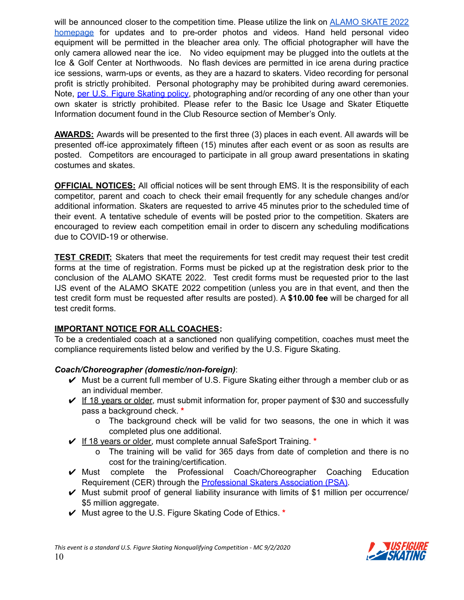will be announced closer to the competition time. Please utilize the link on [ALAMO](https://www.safsc.org/alamoskate) SKATE 2022 [homepage](https://www.safsc.org/alamoskate) for updates and to pre-order photos and videos. Hand held personal video equipment will be permitted in the bleacher area only. The official photographer will have the only camera allowed near the ice. No video equipment may be plugged into the outlets at the Ice & Golf Center at Northwoods. No flash devices are permitted in ice arena during practice ice sessions, warm-ups or events, as they are a hazard to skaters. Video recording for personal profit is strictly prohibited. Personal photography may be prohibited during award ceremonies. Note, per U.S. Figure [Skating](https://public.3.basecamp.com/p/EsWCNMRdrZ3qJs6LsB9RM9Vf) policy, photographing and/or recording of any one other than your own skater is strictly prohibited. Please refer to the Basic Ice Usage and Skater Etiquette Information document found in the Club Resource section of Member's Only.

**AWARDS:** Awards will be presented to the first three (3) places in each event. All awards will be presented off-ice approximately fifteen (15) minutes after each event or as soon as results are posted. Competitors are encouraged to participate in all group award presentations in skating costumes and skates.

**OFFICIAL NOTICES:** All official notices will be sent through EMS. It is the responsibility of each competitor, parent and coach to check their email frequently for any schedule changes and/or additional information. Skaters are requested to arrive 45 minutes prior to the scheduled time of their event. A tentative schedule of events will be posted prior to the competition. Skaters are encouraged to review each competition email in order to discern any scheduling modifications due to COVID-19 or otherwise.

**TEST CREDIT:** Skaters that meet the requirements for test credit may request their test credit forms at the time of registration. Forms must be picked up at the registration desk prior to the conclusion of the ALAMO SKATE 2022. Test credit forms must be requested prior to the last IJS event of the ALAMO SKATE 2022 competition (unless you are in that event, and then the test credit form must be requested after results are posted). A **\$10.00 fee** will be charged for all test credit forms.

#### **IMPORTANT NOTICE FOR ALL COACHES:**

To be a credentialed coach at a sanctioned non qualifying competition, coaches must meet the compliance requirements listed below and verified by the U.S. Figure Skating.

#### *Coach/Choreographer (domestic/non-foreign)*:

- $\vee$  Must be a current full member of U.S. Figure Skating either through a member club or as an individual member.
- $\checkmark$  If 18 years or older, must submit information for, proper payment of \$30 and successfully pass a background check. **\***
	- o The background check will be valid for two seasons, the one in which it was completed plus one additional.
- ✔ If 18 years or older, must complete annual SafeSport Training. **\***
	- o The training will be valid for 365 days from date of completion and there is no cost for the training/certification.
- ✔ Must complete the Professional Coach/Choreographer Coaching Education Requirement (CER) through the **[Professional](https://skatepsa.com/compliance) Skaters Association (PSA)**.
- $\vee$  Must submit proof of general liability insurance with limits of \$1 million per occurrence/ \$5 million aggregate.
- ✔ Must agree to the U.S. Figure Skating Code of Ethics. **\***

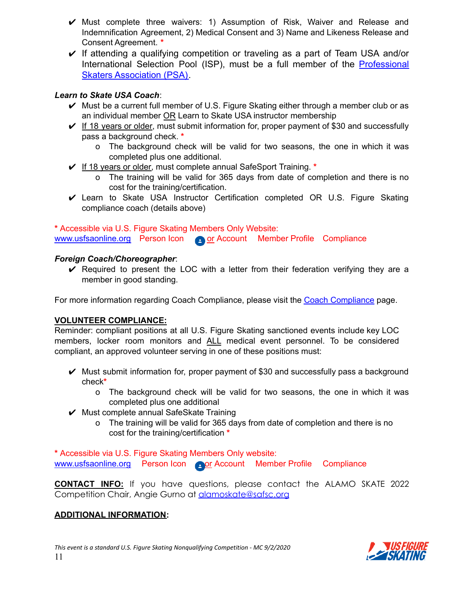- $\vee$  Must complete three waivers: 1) Assumption of Risk, Waiver and Release and Indemnification Agreement, 2) Medical Consent and 3) Name and Likeness Release and Consent Agreement. **\***
- $\vee$  If attending a qualifying competition or traveling as a part of Team USA and/or International Selection Pool (ISP), must be a full member of the [Professional](https://skatepsa.com/membership) [Skaters Association \(PSA\).](https://skatepsa.com/membership)

#### *Learn to Skate USA Coach*:

- $\vee$  Must be a current full member of U.S. Figure Skating either through a member club or as an individual member OR Learn to Skate USA instructor membership
- $\vee$  If 18 years or older, must submit information for, proper payment of \$30 and successfully pass a background check. **\***
	- o The background check will be valid for two seasons, the one in which it was completed plus one additional.
- ✔ If 18 years or older, must complete annual SafeSport Training. **\***
	- o The training will be valid for 365 days from date of completion and there is no cost for the training/certification.
- $\checkmark$  Learn to Skate USA Instructor Certification completed OR U.S. Figure Skating compliance coach (details above)

**\*** Accessible via U.S. Figure Skating Members Only Website:

[www.usfsaonline.org](http://www.usfsaonline.org) Person Icon or Account Member Profile Compliance

#### *Foreign Coach/Choreographer*:

 $\vee$  Required to present the LOC with a letter from their federation verifying they are a member in good standing.

For more information regarding Coach [Compliance](https://www.usfigureskating.org/support/coach/coach-compliance), please visit the Coach Compliance page.

#### **VOLUNTEER COMPLIANCE:**

Reminder: compliant positions at all U.S. Figure Skating sanctioned events include key LOC members, locker room monitors and ALL medical event personnel. To be considered compliant, an approved volunteer serving in one of these positions must:

- $\vee$  Must submit information for, proper payment of \$30 and successfully pass a background check**\***
	- o The background check will be valid for two seasons, the one in which it was completed plus one additional
- $\vee$  Must complete annual SafeSkate Training
	- o The training will be valid for 365 days from date of completion and there is no cost for the training/certification **\***

**\*** Accessible via U.S. Figure Skating Members Only website:

[www.usfsaonline.org](http://www.usfsaonline.org) Person Icon or Account Member Profile Compliance

**CONTACT INFO:** If you have questions, please contact the ALAMO SKATE 2022 Competition Chair, Angie Gurno at [alamoskate@safsc.org](mailto:alamoskate@safsc.org)

#### **ADDITIONAL INFORMATION:**

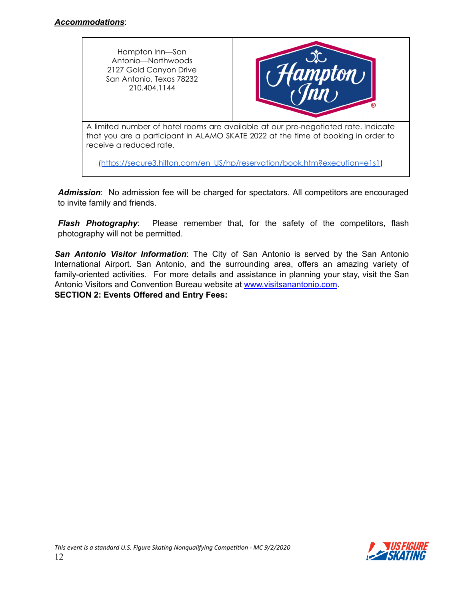



A limited number of hotel rooms are available at our pre-negotiated rate. Indicate that you are a participant in ALAMO SKATE 2022 at the time of booking in order to receive a reduced rate.

([https://secure3.hilton.com/en\\_US/hp/reservation/book.htm?execution=e1s1\)](https://www.hilton.com/en/book/reservation/deeplink/?ctyhocn=SATHHHX&groupCode=CHHASK&arrivaldate=2022-02-18&departuredate=2022-02-20&cid=OM,WW,HILTONLINK,EN,DirectLink&fromId=HILTONLINKDIRECT)

*Admission*: No admission fee will be charged for spectators. All competitors are encouraged to invite family and friends.

*Flash Photography:* Please remember that, for the safety of the competitors, flash photography will not be permitted.

*San Antonio Visitor Information*: The City of San Antonio is served by the San Antonio International Airport. San Antonio, and the surrounding area, offers an amazing variety of family-oriented activities. For more details and assistance in planning your stay, visit the San Antonio Visitors and Convention Bureau website at [www.visitsanantonio.com](http://www.visitsanantonio.com). **SECTION 2: Events Offered and Entry Fees:**